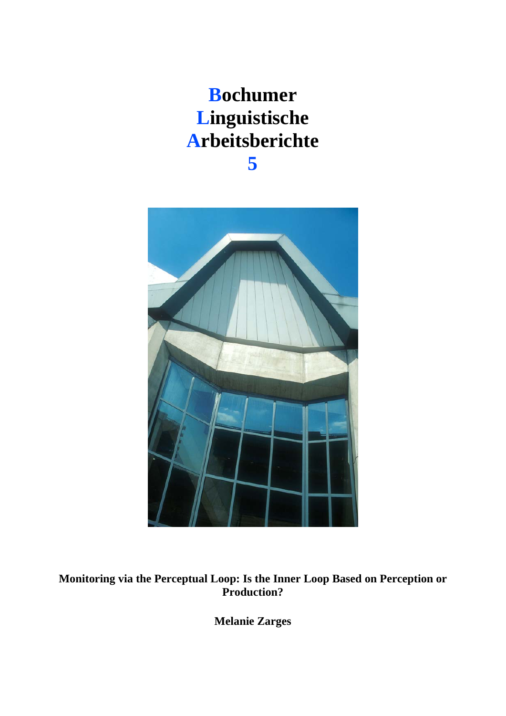### **Bochumer Linguistische Arbeitsberichte 5**



**Monitoring via the Perceptual Loop: Is the Inner Loop Based on Perception or Production?**

**Melanie Zarges**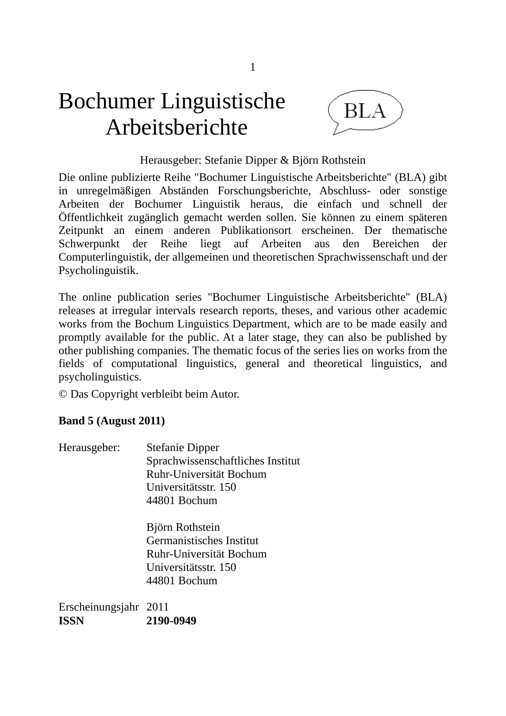# Bochumer Linguistische Arbeitsberichte



#### Herausgeber: Stefanie Dipper & Björn Rothstein

Die online publizierte Reihe "Bochumer Linguistische Arbeitsberichte" (BLA) gibt in unregelmäßigen Abständen Forschungsberichte, Abschluss- oder sonstige Arbeiten der Bochumer Linguistik heraus, die einfach und schnell der Öffentlichkeit zugänglich gemacht werden sollen. Sie können zu einem späteren Zeitpunkt an einem anderen Publikationsort erscheinen. Der thematische Schwerpunkt der Reihe liegt auf Arbeiten aus den Bereichen der Computerlinguistik, der allgemeinen und theoretischen Sprachwissenschaft und der Psycholinguistik.

The online publication series "Bochumer Linguistische Arbeitsberichte" (BLA) releases at irregular intervals research reports, theses, and various other academic works from the Bochum Linguistics Department, which are to be made easily and promptly available for the public. At a later stage, they can also be published by other publishing companies. The thematic focus of the series lies on works from the fields of computational linguistics, general and theoretical linguistics, and psycholinguistics.

© Das Copyright verbleibt beim Autor.

#### **Band 5 (August 2011)**

| Herausgeber: | <b>Stefanie Dipper</b>            |
|--------------|-----------------------------------|
|              | Sprachwissenschaftliches Institut |
|              | Ruhr-Universität Bochum           |
|              | Universitätsstr. 150              |
|              | 44801 Bochum                      |

 Björn Rothstein Germanistisches Institut Ruhr-Universität Bochum Universitätsstr. 150 44801 Bochum

Erscheinungsjahr 2011 **ISSN 2190-0949**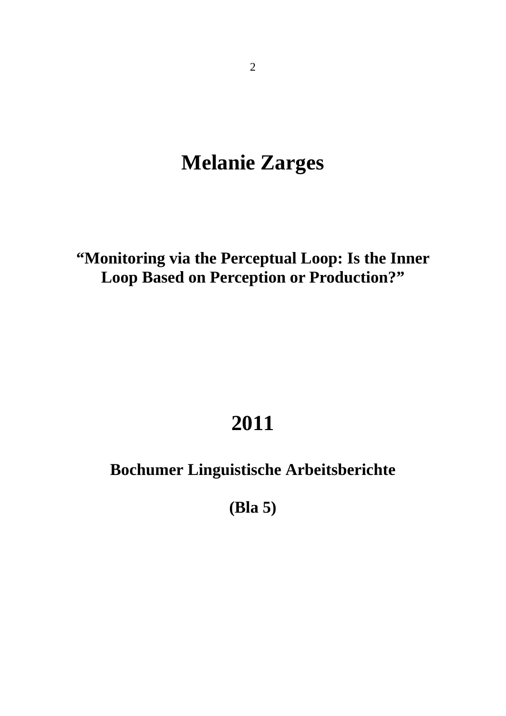### **Melanie Zarges**

**"Monitoring via the Perceptual Loop: Is the Inner Loop Based on Perception or Production?"** 

## **2011**

### **Bochumer Linguistische Arbeitsberichte**

**(Bla 5)**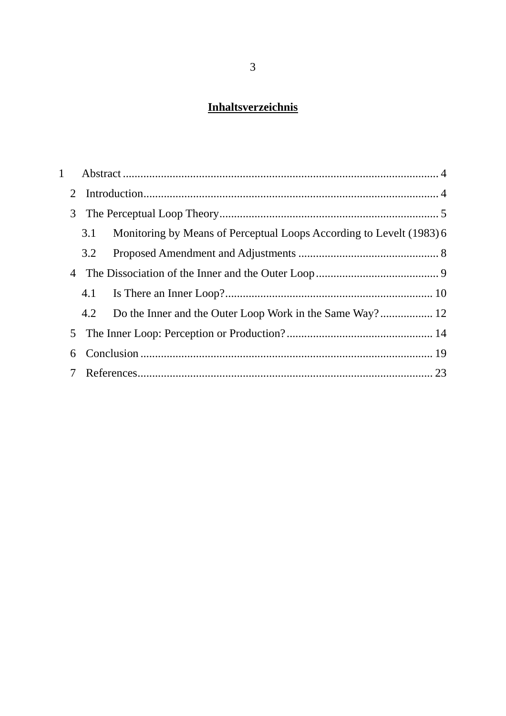### **Inhaltsverzeichnis**

| $\mathbf{1}$    |                                                                             |  |
|-----------------|-----------------------------------------------------------------------------|--|
| 2               |                                                                             |  |
| 3               |                                                                             |  |
|                 | Monitoring by Means of Perceptual Loops According to Levelt (1983) 6<br>3.1 |  |
|                 | 3.2                                                                         |  |
|                 |                                                                             |  |
|                 | 4.1                                                                         |  |
|                 | 4.2                                                                         |  |
|                 |                                                                             |  |
| 6               |                                                                             |  |
| $7\overline{ }$ |                                                                             |  |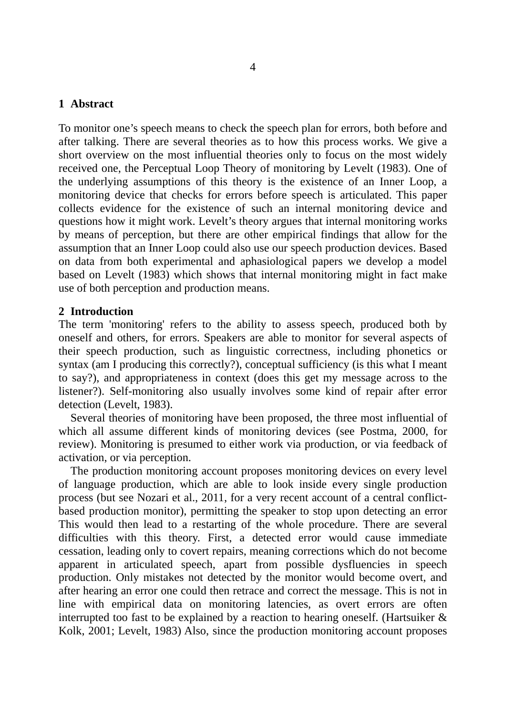#### **1 Abstract**

To monitor one's speech means to check the speech plan for errors, both before and after talking. There are several theories as to how this process works. We give a short overview on the most influential theories only to focus on the most widely received one, the Perceptual Loop Theory of monitoring by Levelt (1983). One of the underlying assumptions of this theory is the existence of an Inner Loop, a monitoring device that checks for errors before speech is articulated. This paper collects evidence for the existence of such an internal monitoring device and questions how it might work. Levelt's theory argues that internal monitoring works by means of perception, but there are other empirical findings that allow for the assumption that an Inner Loop could also use our speech production devices. Based on data from both experimental and aphasiological papers we develop a model based on Levelt (1983) which shows that internal monitoring might in fact make use of both perception and production means.

#### **2 Introduction**

The term 'monitoring' refers to the ability to assess speech, produced both by oneself and others, for errors. Speakers are able to monitor for several aspects of their speech production, such as linguistic correctness, including phonetics or syntax (am I producing this correctly?), conceptual sufficiency (is this what I meant to say?), and appropriateness in context (does this get my message across to the listener?). Self-monitoring also usually involves some kind of repair after error detection (Levelt, 1983).

 Several theories of monitoring have been proposed, the three most influential of which all assume different kinds of monitoring devices (see Postma, 2000, for review). Monitoring is presumed to either work via production, or via feedback of activation, or via perception.

 The production monitoring account proposes monitoring devices on every level of language production, which are able to look inside every single production process (but see Nozari et al., 2011, for a very recent account of a central conflictbased production monitor), permitting the speaker to stop upon detecting an error This would then lead to a restarting of the whole procedure. There are several difficulties with this theory. First, a detected error would cause immediate cessation, leading only to covert repairs, meaning corrections which do not become apparent in articulated speech, apart from possible dysfluencies in speech production. Only mistakes not detected by the monitor would become overt, and after hearing an error one could then retrace and correct the message. This is not in line with empirical data on monitoring latencies, as overt errors are often interrupted too fast to be explained by a reaction to hearing oneself. (Hartsuiker  $\&$ Kolk, 2001; Levelt, 1983) Also, since the production monitoring account proposes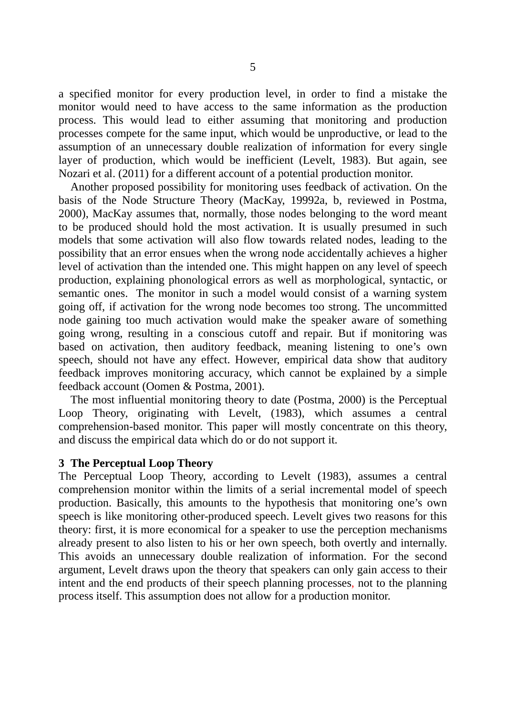a specified monitor for every production level, in order to find a mistake the monitor would need to have access to the same information as the production process. This would lead to either assuming that monitoring and production processes compete for the same input, which would be unproductive, or lead to the assumption of an unnecessary double realization of information for every single layer of production, which would be inefficient (Levelt, 1983). But again, see Nozari et al. (2011) for a different account of a potential production monitor.

 Another proposed possibility for monitoring uses feedback of activation. On the basis of the Node Structure Theory (MacKay, 19992a, b, reviewed in Postma, 2000), MacKay assumes that, normally, those nodes belonging to the word meant to be produced should hold the most activation. It is usually presumed in such models that some activation will also flow towards related nodes, leading to the possibility that an error ensues when the wrong node accidentally achieves a higher level of activation than the intended one. This might happen on any level of speech production, explaining phonological errors as well as morphological, syntactic, or semantic ones. The monitor in such a model would consist of a warning system going off, if activation for the wrong node becomes too strong. The uncommitted node gaining too much activation would make the speaker aware of something going wrong, resulting in a conscious cutoff and repair. But if monitoring was based on activation, then auditory feedback, meaning listening to one's own speech, should not have any effect. However, empirical data show that auditory feedback improves monitoring accuracy, which cannot be explained by a simple feedback account (Oomen & Postma, 2001).

 The most influential monitoring theory to date (Postma, 2000) is the Perceptual Loop Theory, originating with Levelt, (1983), which assumes a central comprehension-based monitor. This paper will mostly concentrate on this theory, and discuss the empirical data which do or do not support it.

#### **3 The Perceptual Loop Theory**

The Perceptual Loop Theory, according to Levelt (1983), assumes a central comprehension monitor within the limits of a serial incremental model of speech production. Basically, this amounts to the hypothesis that monitoring one's own speech is like monitoring other-produced speech. Levelt gives two reasons for this theory: first, it is more economical for a speaker to use the perception mechanisms already present to also listen to his or her own speech, both overtly and internally. This avoids an unnecessary double realization of information. For the second argument, Levelt draws upon the theory that speakers can only gain access to their intent and the end products of their speech planning processes, not to the planning process itself. This assumption does not allow for a production monitor.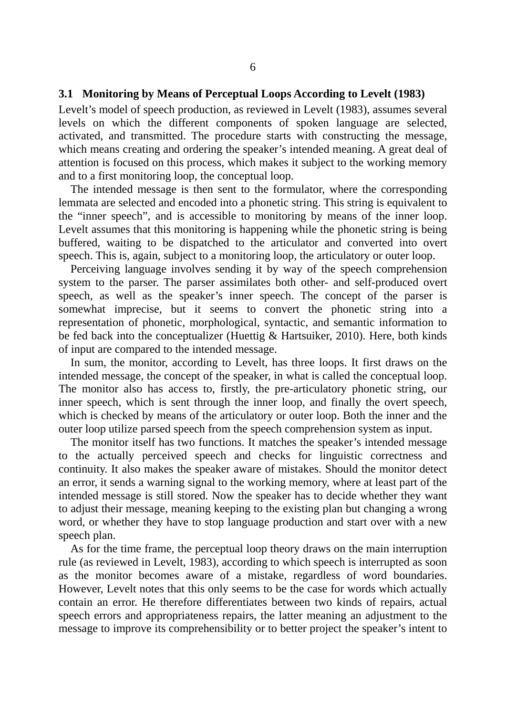#### **3.1 Monitoring by Means of Perceptual Loops According to Levelt (1983)**

Levelt's model of speech production, as reviewed in Levelt (1983), assumes several levels on which the different components of spoken language are selected, activated, and transmitted. The procedure starts with constructing the message, which means creating and ordering the speaker's intended meaning. A great deal of attention is focused on this process, which makes it subject to the working memory and to a first monitoring loop, the conceptual loop.

 The intended message is then sent to the formulator, where the corresponding lemmata are selected and encoded into a phonetic string. This string is equivalent to the "inner speech", and is accessible to monitoring by means of the inner loop. Levelt assumes that this monitoring is happening while the phonetic string is being buffered, waiting to be dispatched to the articulator and converted into overt speech. This is, again, subject to a monitoring loop, the articulatory or outer loop.

 Perceiving language involves sending it by way of the speech comprehension system to the parser. The parser assimilates both other- and self-produced overt speech, as well as the speaker's inner speech. The concept of the parser is somewhat imprecise, but it seems to convert the phonetic string into a representation of phonetic, morphological, syntactic, and semantic information to be fed back into the conceptualizer (Huettig & Hartsuiker, 2010). Here, both kinds of input are compared to the intended message.

 In sum, the monitor, according to Levelt, has three loops. It first draws on the intended message, the concept of the speaker, in what is called the conceptual loop. The monitor also has access to, firstly, the pre-articulatory phonetic string, our inner speech, which is sent through the inner loop, and finally the overt speech, which is checked by means of the articulatory or outer loop. Both the inner and the outer loop utilize parsed speech from the speech comprehension system as input.

 The monitor itself has two functions. It matches the speaker's intended message to the actually perceived speech and checks for linguistic correctness and continuity. It also makes the speaker aware of mistakes. Should the monitor detect an error, it sends a warning signal to the working memory, where at least part of the intended message is still stored. Now the speaker has to decide whether they want to adjust their message, meaning keeping to the existing plan but changing a wrong word, or whether they have to stop language production and start over with a new speech plan.

 As for the time frame, the perceptual loop theory draws on the main interruption rule (as reviewed in Levelt, 1983), according to which speech is interrupted as soon as the monitor becomes aware of a mistake, regardless of word boundaries. However, Levelt notes that this only seems to be the case for words which actually contain an error. He therefore differentiates between two kinds of repairs, actual speech errors and appropriateness repairs, the latter meaning an adjustment to the message to improve its comprehensibility or to better project the speaker's intent to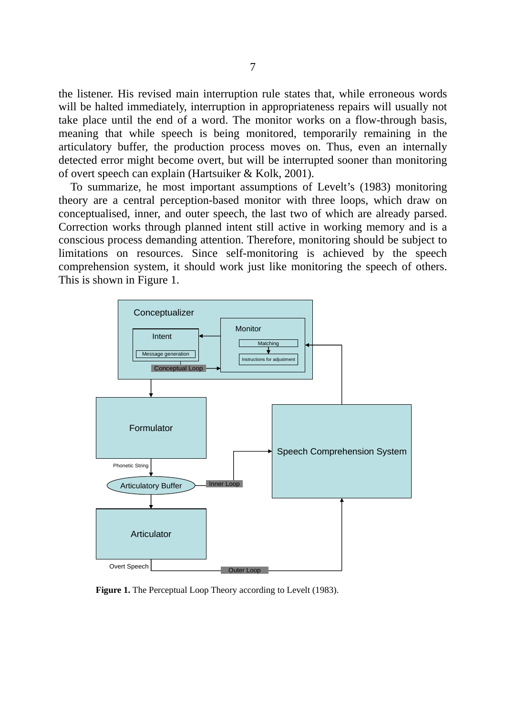the listener. His revised main interruption rule states that, while erroneous words will be halted immediately, interruption in appropriateness repairs will usually not take place until the end of a word. The monitor works on a flow-through basis, meaning that while speech is being monitored, temporarily remaining in the articulatory buffer, the production process moves on. Thus, even an internally detected error might become overt, but will be interrupted sooner than monitoring of overt speech can explain (Hartsuiker & Kolk, 2001).

 To summarize, he most important assumptions of Levelt's (1983) monitoring theory are a central perception-based monitor with three loops, which draw on conceptualised, inner, and outer speech, the last two of which are already parsed. Correction works through planned intent still active in working memory and is a conscious process demanding attention. Therefore, monitoring should be subject to limitations on resources. Since self-monitoring is achieved by the speech comprehension system, it should work just like monitoring the speech of others. This is shown in Figure 1.



**Figure 1.** The Perceptual Loop Theory according to Levelt (1983).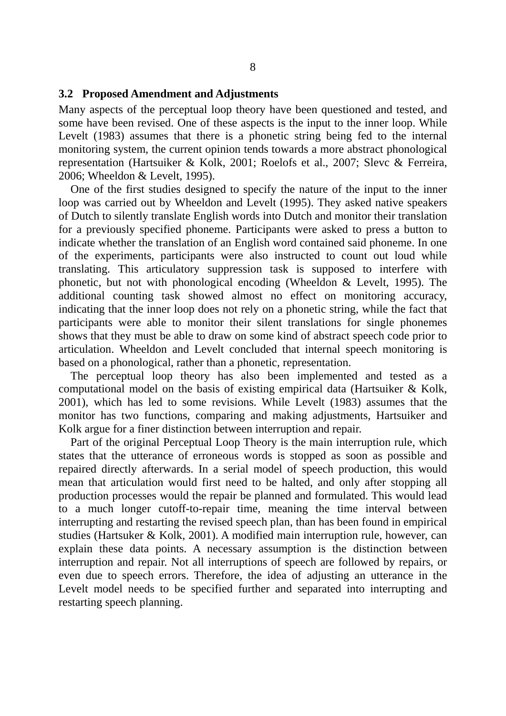#### **3.2 Proposed Amendment and Adjustments**

Many aspects of the perceptual loop theory have been questioned and tested, and some have been revised. One of these aspects is the input to the inner loop. While Levelt (1983) assumes that there is a phonetic string being fed to the internal monitoring system, the current opinion tends towards a more abstract phonological representation (Hartsuiker & Kolk, 2001; Roelofs et al., 2007; Slevc & Ferreira, 2006; Wheeldon & Levelt, 1995).

 One of the first studies designed to specify the nature of the input to the inner loop was carried out by Wheeldon and Levelt (1995). They asked native speakers of Dutch to silently translate English words into Dutch and monitor their translation for a previously specified phoneme. Participants were asked to press a button to indicate whether the translation of an English word contained said phoneme. In one of the experiments, participants were also instructed to count out loud while translating. This articulatory suppression task is supposed to interfere with phonetic, but not with phonological encoding (Wheeldon & Levelt, 1995). The additional counting task showed almost no effect on monitoring accuracy, indicating that the inner loop does not rely on a phonetic string, while the fact that participants were able to monitor their silent translations for single phonemes shows that they must be able to draw on some kind of abstract speech code prior to articulation. Wheeldon and Levelt concluded that internal speech monitoring is based on a phonological, rather than a phonetic, representation.

 The perceptual loop theory has also been implemented and tested as a computational model on the basis of existing empirical data (Hartsuiker & Kolk, 2001), which has led to some revisions. While Levelt (1983) assumes that the monitor has two functions, comparing and making adjustments, Hartsuiker and Kolk argue for a finer distinction between interruption and repair.

 Part of the original Perceptual Loop Theory is the main interruption rule, which states that the utterance of erroneous words is stopped as soon as possible and repaired directly afterwards. In a serial model of speech production, this would mean that articulation would first need to be halted, and only after stopping all production processes would the repair be planned and formulated. This would lead to a much longer cutoff-to-repair time, meaning the time interval between interrupting and restarting the revised speech plan, than has been found in empirical studies (Hartsuker & Kolk, 2001). A modified main interruption rule, however, can explain these data points. A necessary assumption is the distinction between interruption and repair. Not all interruptions of speech are followed by repairs, or even due to speech errors. Therefore, the idea of adjusting an utterance in the Levelt model needs to be specified further and separated into interrupting and restarting speech planning.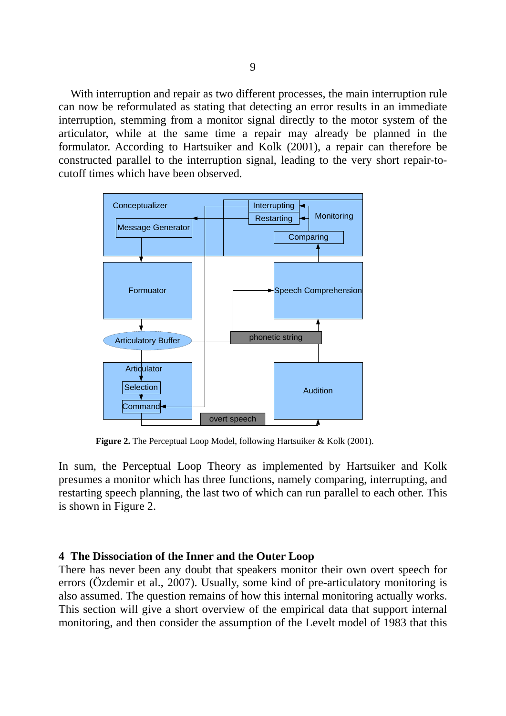With interruption and repair as two different processes, the main interruption rule can now be reformulated as stating that detecting an error results in an immediate interruption, stemming from a monitor signal directly to the motor system of the articulator, while at the same time a repair may already be planned in the formulator. According to Hartsuiker and Kolk (2001), a repair can therefore be constructed parallel to the interruption signal, leading to the very short repair-tocutoff times which have been observed.



**Figure 2.** The Perceptual Loop Model, following Hartsuiker & Kolk (2001).

In sum, the Perceptual Loop Theory as implemented by Hartsuiker and Kolk presumes a monitor which has three functions, namely comparing, interrupting, and restarting speech planning, the last two of which can run parallel to each other. This is shown in Figure 2.

#### **4 The Dissociation of the Inner and the Outer Loop**

There has never been any doubt that speakers monitor their own overt speech for errors (Özdemir et al., 2007). Usually, some kind of pre-articulatory monitoring is also assumed. The question remains of how this internal monitoring actually works. This section will give a short overview of the empirical data that support internal monitoring, and then consider the assumption of the Levelt model of 1983 that this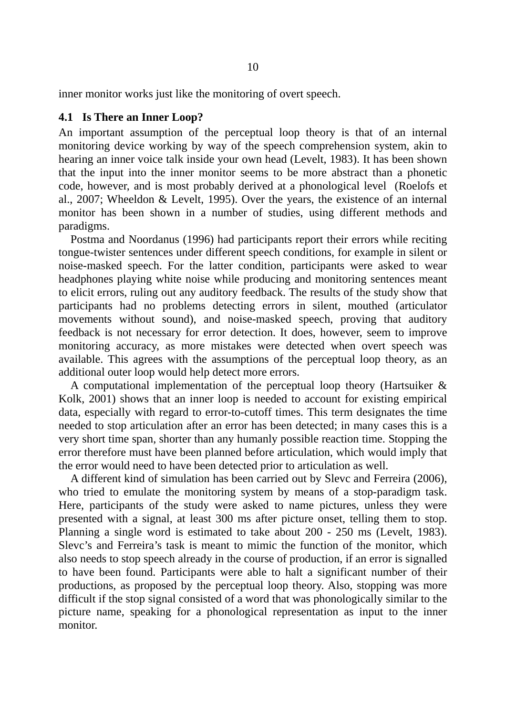inner monitor works just like the monitoring of overt speech.

#### **4.1 Is There an Inner Loop?**

An important assumption of the perceptual loop theory is that of an internal monitoring device working by way of the speech comprehension system, akin to hearing an inner voice talk inside your own head (Levelt, 1983). It has been shown that the input into the inner monitor seems to be more abstract than a phonetic code, however, and is most probably derived at a phonological level (Roelofs et al., 2007; Wheeldon & Levelt, 1995). Over the years, the existence of an internal monitor has been shown in a number of studies, using different methods and paradigms.

 Postma and Noordanus (1996) had participants report their errors while reciting tongue-twister sentences under different speech conditions, for example in silent or noise-masked speech. For the latter condition, participants were asked to wear headphones playing white noise while producing and monitoring sentences meant to elicit errors, ruling out any auditory feedback. The results of the study show that participants had no problems detecting errors in silent, mouthed (articulator movements without sound), and noise-masked speech, proving that auditory feedback is not necessary for error detection. It does, however, seem to improve monitoring accuracy, as more mistakes were detected when overt speech was available. This agrees with the assumptions of the perceptual loop theory, as an additional outer loop would help detect more errors.

 A computational implementation of the perceptual loop theory (Hartsuiker & Kolk, 2001) shows that an inner loop is needed to account for existing empirical data, especially with regard to error-to-cutoff times. This term designates the time needed to stop articulation after an error has been detected; in many cases this is a very short time span, shorter than any humanly possible reaction time. Stopping the error therefore must have been planned before articulation, which would imply that the error would need to have been detected prior to articulation as well.

 A different kind of simulation has been carried out by Slevc and Ferreira (2006), who tried to emulate the monitoring system by means of a stop-paradigm task. Here, participants of the study were asked to name pictures, unless they were presented with a signal, at least 300 ms after picture onset, telling them to stop. Planning a single word is estimated to take about 200 - 250 ms (Levelt, 1983). Slevc's and Ferreira's task is meant to mimic the function of the monitor, which also needs to stop speech already in the course of production, if an error is signalled to have been found. Participants were able to halt a significant number of their productions, as proposed by the perceptual loop theory. Also, stopping was more difficult if the stop signal consisted of a word that was phonologically similar to the picture name, speaking for a phonological representation as input to the inner monitor.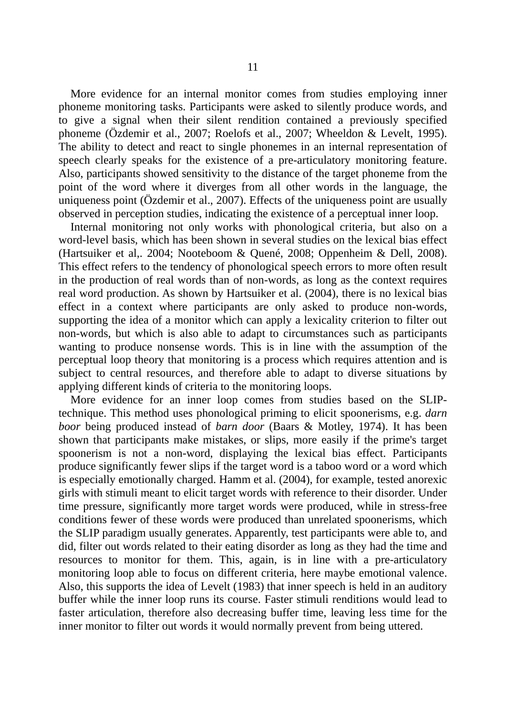More evidence for an internal monitor comes from studies employing inner phoneme monitoring tasks. Participants were asked to silently produce words, and to give a signal when their silent rendition contained a previously specified phoneme (Özdemir et al., 2007; Roelofs et al., 2007; Wheeldon & Levelt, 1995). The ability to detect and react to single phonemes in an internal representation of speech clearly speaks for the existence of a pre-articulatory monitoring feature. Also, participants showed sensitivity to the distance of the target phoneme from the point of the word where it diverges from all other words in the language, the uniqueness point (Özdemir et al., 2007). Effects of the uniqueness point are usually observed in perception studies, indicating the existence of a perceptual inner loop.

 Internal monitoring not only works with phonological criteria, but also on a word-level basis, which has been shown in several studies on the lexical bias effect (Hartsuiker et al,. 2004; Nooteboom & Quené, 2008; Oppenheim & Dell, 2008). This effect refers to the tendency of phonological speech errors to more often result in the production of real words than of non-words, as long as the context requires real word production. As shown by Hartsuiker et al. (2004), there is no lexical bias effect in a context where participants are only asked to produce non-words, supporting the idea of a monitor which can apply a lexicality criterion to filter out non-words, but which is also able to adapt to circumstances such as participants wanting to produce nonsense words. This is in line with the assumption of the perceptual loop theory that monitoring is a process which requires attention and is subject to central resources, and therefore able to adapt to diverse situations by applying different kinds of criteria to the monitoring loops.

 More evidence for an inner loop comes from studies based on the SLIPtechnique. This method uses phonological priming to elicit spoonerisms, e.g. *darn boor* being produced instead of *barn door* (Baars & Motley, 1974). It has been shown that participants make mistakes, or slips, more easily if the prime's target spoonerism is not a non-word, displaying the lexical bias effect. Participants produce significantly fewer slips if the target word is a taboo word or a word which is especially emotionally charged. Hamm et al. (2004), for example, tested anorexic girls with stimuli meant to elicit target words with reference to their disorder. Under time pressure, significantly more target words were produced, while in stress-free conditions fewer of these words were produced than unrelated spoonerisms, which the SLIP paradigm usually generates. Apparently, test participants were able to, and did, filter out words related to their eating disorder as long as they had the time and resources to monitor for them. This, again, is in line with a pre-articulatory monitoring loop able to focus on different criteria, here maybe emotional valence. Also, this supports the idea of Levelt (1983) that inner speech is held in an auditory buffer while the inner loop runs its course. Faster stimuli renditions would lead to faster articulation, therefore also decreasing buffer time, leaving less time for the inner monitor to filter out words it would normally prevent from being uttered.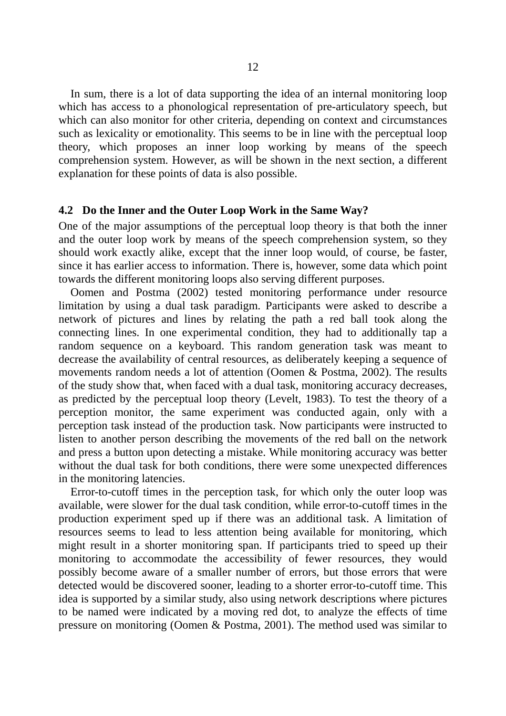In sum, there is a lot of data supporting the idea of an internal monitoring loop which has access to a phonological representation of pre-articulatory speech, but which can also monitor for other criteria, depending on context and circumstances such as lexicality or emotionality. This seems to be in line with the perceptual loop theory, which proposes an inner loop working by means of the speech comprehension system. However, as will be shown in the next section, a different explanation for these points of data is also possible.

#### **4.2 Do the Inner and the Outer Loop Work in the Same Way?**

One of the major assumptions of the perceptual loop theory is that both the inner and the outer loop work by means of the speech comprehension system, so they should work exactly alike, except that the inner loop would, of course, be faster, since it has earlier access to information. There is, however, some data which point towards the different monitoring loops also serving different purposes.

 Oomen and Postma (2002) tested monitoring performance under resource limitation by using a dual task paradigm. Participants were asked to describe a network of pictures and lines by relating the path a red ball took along the connecting lines. In one experimental condition, they had to additionally tap a random sequence on a keyboard. This random generation task was meant to decrease the availability of central resources, as deliberately keeping a sequence of movements random needs a lot of attention (Oomen & Postma, 2002). The results of the study show that, when faced with a dual task, monitoring accuracy decreases, as predicted by the perceptual loop theory (Levelt, 1983). To test the theory of a perception monitor, the same experiment was conducted again, only with a perception task instead of the production task. Now participants were instructed to listen to another person describing the movements of the red ball on the network and press a button upon detecting a mistake. While monitoring accuracy was better without the dual task for both conditions, there were some unexpected differences in the monitoring latencies.

 Error-to-cutoff times in the perception task, for which only the outer loop was available, were slower for the dual task condition, while error-to-cutoff times in the production experiment sped up if there was an additional task. A limitation of resources seems to lead to less attention being available for monitoring, which might result in a shorter monitoring span. If participants tried to speed up their monitoring to accommodate the accessibility of fewer resources, they would possibly become aware of a smaller number of errors, but those errors that were detected would be discovered sooner, leading to a shorter error-to-cutoff time. This idea is supported by a similar study, also using network descriptions where pictures to be named were indicated by a moving red dot, to analyze the effects of time pressure on monitoring (Oomen & Postma, 2001). The method used was similar to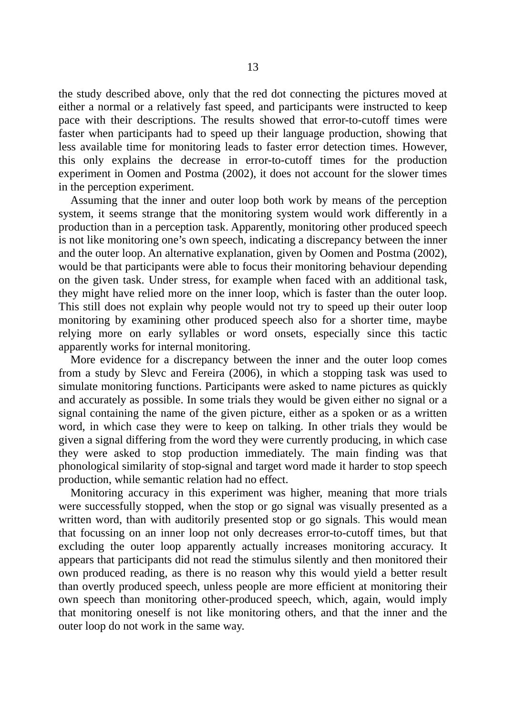the study described above, only that the red dot connecting the pictures moved at either a normal or a relatively fast speed, and participants were instructed to keep pace with their descriptions. The results showed that error-to-cutoff times were faster when participants had to speed up their language production, showing that less available time for monitoring leads to faster error detection times. However, this only explains the decrease in error-to-cutoff times for the production experiment in Oomen and Postma (2002), it does not account for the slower times in the perception experiment.

 Assuming that the inner and outer loop both work by means of the perception system, it seems strange that the monitoring system would work differently in a production than in a perception task. Apparently, monitoring other produced speech is not like monitoring one's own speech, indicating a discrepancy between the inner and the outer loop. An alternative explanation, given by Oomen and Postma (2002), would be that participants were able to focus their monitoring behaviour depending on the given task. Under stress, for example when faced with an additional task, they might have relied more on the inner loop, which is faster than the outer loop. This still does not explain why people would not try to speed up their outer loop monitoring by examining other produced speech also for a shorter time, maybe relying more on early syllables or word onsets, especially since this tactic apparently works for internal monitoring.

 More evidence for a discrepancy between the inner and the outer loop comes from a study by Slevc and Fereira (2006), in which a stopping task was used to simulate monitoring functions. Participants were asked to name pictures as quickly and accurately as possible. In some trials they would be given either no signal or a signal containing the name of the given picture, either as a spoken or as a written word, in which case they were to keep on talking. In other trials they would be given a signal differing from the word they were currently producing, in which case they were asked to stop production immediately. The main finding was that phonological similarity of stop-signal and target word made it harder to stop speech production, while semantic relation had no effect.

 Monitoring accuracy in this experiment was higher, meaning that more trials were successfully stopped, when the stop or go signal was visually presented as a written word, than with auditorily presented stop or go signals. This would mean that focussing on an inner loop not only decreases error-to-cutoff times, but that excluding the outer loop apparently actually increases monitoring accuracy. It appears that participants did not read the stimulus silently and then monitored their own produced reading, as there is no reason why this would yield a better result than overtly produced speech, unless people are more efficient at monitoring their own speech than monitoring other-produced speech, which, again, would imply that monitoring oneself is not like monitoring others, and that the inner and the outer loop do not work in the same way.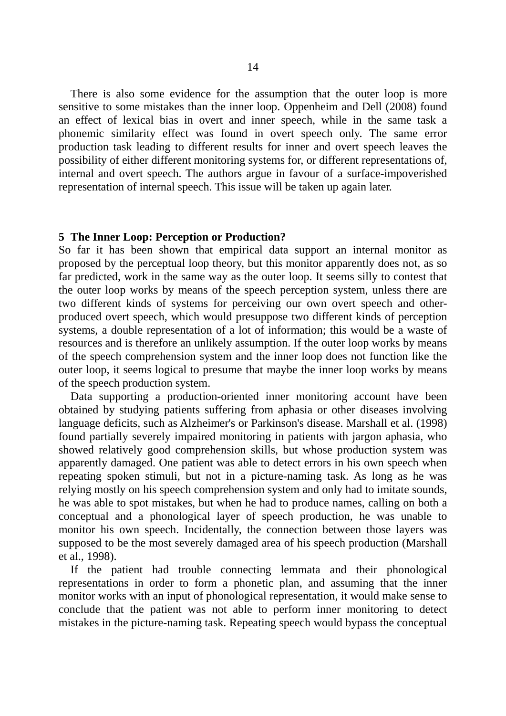There is also some evidence for the assumption that the outer loop is more sensitive to some mistakes than the inner loop. Oppenheim and Dell (2008) found an effect of lexical bias in overt and inner speech, while in the same task a phonemic similarity effect was found in overt speech only. The same error production task leading to different results for inner and overt speech leaves the possibility of either different monitoring systems for, or different representations of, internal and overt speech. The authors argue in favour of a surface-impoverished representation of internal speech. This issue will be taken up again later.

#### **5 The Inner Loop: Perception or Production?**

So far it has been shown that empirical data support an internal monitor as proposed by the perceptual loop theory, but this monitor apparently does not, as so far predicted, work in the same way as the outer loop. It seems silly to contest that the outer loop works by means of the speech perception system, unless there are two different kinds of systems for perceiving our own overt speech and otherproduced overt speech, which would presuppose two different kinds of perception systems, a double representation of a lot of information; this would be a waste of resources and is therefore an unlikely assumption. If the outer loop works by means of the speech comprehension system and the inner loop does not function like the outer loop, it seems logical to presume that maybe the inner loop works by means of the speech production system.

 Data supporting a production-oriented inner monitoring account have been obtained by studying patients suffering from aphasia or other diseases involving language deficits, such as Alzheimer's or Parkinson's disease. Marshall et al. (1998) found partially severely impaired monitoring in patients with jargon aphasia, who showed relatively good comprehension skills, but whose production system was apparently damaged. One patient was able to detect errors in his own speech when repeating spoken stimuli, but not in a picture-naming task. As long as he was relying mostly on his speech comprehension system and only had to imitate sounds, he was able to spot mistakes, but when he had to produce names, calling on both a conceptual and a phonological layer of speech production, he was unable to monitor his own speech. Incidentally, the connection between those layers was supposed to be the most severely damaged area of his speech production (Marshall et al., 1998).

 If the patient had trouble connecting lemmata and their phonological representations in order to form a phonetic plan, and assuming that the inner monitor works with an input of phonological representation, it would make sense to conclude that the patient was not able to perform inner monitoring to detect mistakes in the picture-naming task. Repeating speech would bypass the conceptual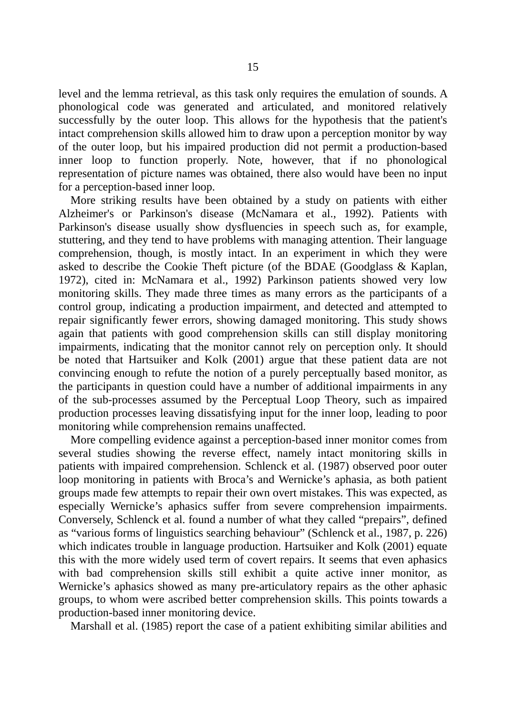level and the lemma retrieval, as this task only requires the emulation of sounds. A phonological code was generated and articulated, and monitored relatively successfully by the outer loop. This allows for the hypothesis that the patient's intact comprehension skills allowed him to draw upon a perception monitor by way of the outer loop, but his impaired production did not permit a production-based inner loop to function properly. Note, however, that if no phonological representation of picture names was obtained, there also would have been no input for a perception-based inner loop.

 More striking results have been obtained by a study on patients with either Alzheimer's or Parkinson's disease (McNamara et al., 1992). Patients with Parkinson's disease usually show dysfluencies in speech such as, for example, stuttering, and they tend to have problems with managing attention. Their language comprehension, though, is mostly intact. In an experiment in which they were asked to describe the Cookie Theft picture (of the BDAE (Goodglass & Kaplan, 1972), cited in: McNamara et al., 1992) Parkinson patients showed very low monitoring skills. They made three times as many errors as the participants of a control group, indicating a production impairment, and detected and attempted to repair significantly fewer errors, showing damaged monitoring. This study shows again that patients with good comprehension skills can still display monitoring impairments, indicating that the monitor cannot rely on perception only. It should be noted that Hartsuiker and Kolk (2001) argue that these patient data are not convincing enough to refute the notion of a purely perceptually based monitor, as the participants in question could have a number of additional impairments in any of the sub-processes assumed by the Perceptual Loop Theory, such as impaired production processes leaving dissatisfying input for the inner loop, leading to poor monitoring while comprehension remains unaffected.

 More compelling evidence against a perception-based inner monitor comes from several studies showing the reverse effect, namely intact monitoring skills in patients with impaired comprehension. Schlenck et al. (1987) observed poor outer loop monitoring in patients with Broca's and Wernicke's aphasia, as both patient groups made few attempts to repair their own overt mistakes. This was expected, as especially Wernicke's aphasics suffer from severe comprehension impairments. Conversely, Schlenck et al. found a number of what they called "prepairs", defined as "various forms of linguistics searching behaviour" (Schlenck et al., 1987, p. 226) which indicates trouble in language production. Hartsuiker and Kolk (2001) equate this with the more widely used term of covert repairs. It seems that even aphasics with bad comprehension skills still exhibit a quite active inner monitor, as Wernicke's aphasics showed as many pre-articulatory repairs as the other aphasic groups, to whom were ascribed better comprehension skills. This points towards a production-based inner monitoring device.

Marshall et al. (1985) report the case of a patient exhibiting similar abilities and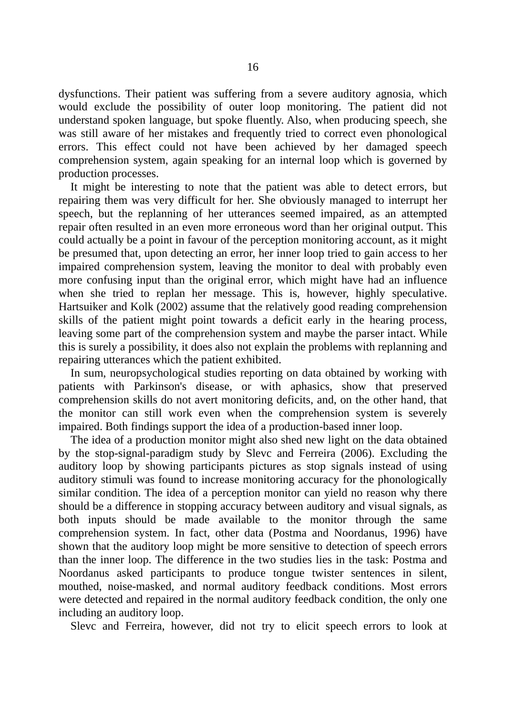dysfunctions. Their patient was suffering from a severe auditory agnosia, which would exclude the possibility of outer loop monitoring. The patient did not understand spoken language, but spoke fluently. Also, when producing speech, she was still aware of her mistakes and frequently tried to correct even phonological errors. This effect could not have been achieved by her damaged speech comprehension system, again speaking for an internal loop which is governed by production processes.

 It might be interesting to note that the patient was able to detect errors, but repairing them was very difficult for her. She obviously managed to interrupt her speech, but the replanning of her utterances seemed impaired, as an attempted repair often resulted in an even more erroneous word than her original output. This could actually be a point in favour of the perception monitoring account, as it might be presumed that, upon detecting an error, her inner loop tried to gain access to her impaired comprehension system, leaving the monitor to deal with probably even more confusing input than the original error, which might have had an influence when she tried to replan her message. This is, however, highly speculative. Hartsuiker and Kolk (2002) assume that the relatively good reading comprehension skills of the patient might point towards a deficit early in the hearing process, leaving some part of the comprehension system and maybe the parser intact. While this is surely a possibility, it does also not explain the problems with replanning and repairing utterances which the patient exhibited.

 In sum, neuropsychological studies reporting on data obtained by working with patients with Parkinson's disease, or with aphasics, show that preserved comprehension skills do not avert monitoring deficits, and, on the other hand, that the monitor can still work even when the comprehension system is severely impaired. Both findings support the idea of a production-based inner loop.

 The idea of a production monitor might also shed new light on the data obtained by the stop-signal-paradigm study by Slevc and Ferreira (2006). Excluding the auditory loop by showing participants pictures as stop signals instead of using auditory stimuli was found to increase monitoring accuracy for the phonologically similar condition. The idea of a perception monitor can yield no reason why there should be a difference in stopping accuracy between auditory and visual signals, as both inputs should be made available to the monitor through the same comprehension system. In fact, other data (Postma and Noordanus, 1996) have shown that the auditory loop might be more sensitive to detection of speech errors than the inner loop. The difference in the two studies lies in the task: Postma and Noordanus asked participants to produce tongue twister sentences in silent, mouthed, noise-masked, and normal auditory feedback conditions. Most errors were detected and repaired in the normal auditory feedback condition, the only one including an auditory loop.

Slevc and Ferreira, however, did not try to elicit speech errors to look at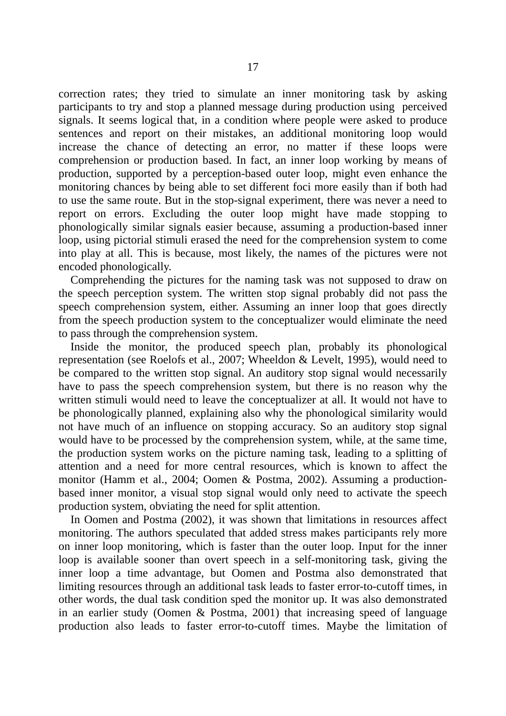correction rates; they tried to simulate an inner monitoring task by asking participants to try and stop a planned message during production using perceived signals. It seems logical that, in a condition where people were asked to produce sentences and report on their mistakes, an additional monitoring loop would increase the chance of detecting an error, no matter if these loops were comprehension or production based. In fact, an inner loop working by means of production, supported by a perception-based outer loop, might even enhance the monitoring chances by being able to set different foci more easily than if both had to use the same route. But in the stop-signal experiment, there was never a need to report on errors. Excluding the outer loop might have made stopping to phonologically similar signals easier because, assuming a production-based inner loop, using pictorial stimuli erased the need for the comprehension system to come into play at all. This is because, most likely, the names of the pictures were not encoded phonologically.

 Comprehending the pictures for the naming task was not supposed to draw on the speech perception system. The written stop signal probably did not pass the speech comprehension system, either. Assuming an inner loop that goes directly from the speech production system to the conceptualizer would eliminate the need to pass through the comprehension system.

 Inside the monitor, the produced speech plan, probably its phonological representation (see Roelofs et al., 2007; Wheeldon & Levelt, 1995), would need to be compared to the written stop signal. An auditory stop signal would necessarily have to pass the speech comprehension system, but there is no reason why the written stimuli would need to leave the conceptualizer at all. It would not have to be phonologically planned, explaining also why the phonological similarity would not have much of an influence on stopping accuracy. So an auditory stop signal would have to be processed by the comprehension system, while, at the same time, the production system works on the picture naming task, leading to a splitting of attention and a need for more central resources, which is known to affect the monitor (Hamm et al., 2004; Oomen & Postma, 2002). Assuming a productionbased inner monitor, a visual stop signal would only need to activate the speech production system, obviating the need for split attention.

 In Oomen and Postma (2002), it was shown that limitations in resources affect monitoring. The authors speculated that added stress makes participants rely more on inner loop monitoring, which is faster than the outer loop. Input for the inner loop is available sooner than overt speech in a self-monitoring task, giving the inner loop a time advantage, but Oomen and Postma also demonstrated that limiting resources through an additional task leads to faster error-to-cutoff times, in other words, the dual task condition sped the monitor up. It was also demonstrated in an earlier study (Oomen & Postma, 2001) that increasing speed of language production also leads to faster error-to-cutoff times. Maybe the limitation of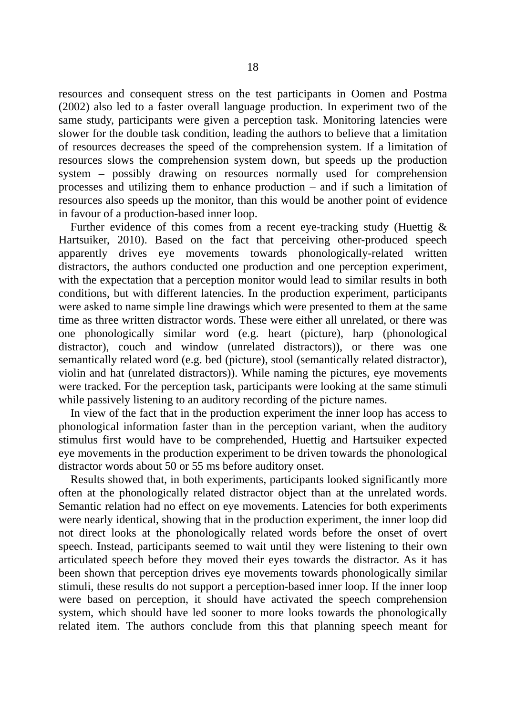resources and consequent stress on the test participants in Oomen and Postma (2002) also led to a faster overall language production. In experiment two of the same study, participants were given a perception task. Monitoring latencies were slower for the double task condition, leading the authors to believe that a limitation of resources decreases the speed of the comprehension system. If a limitation of resources slows the comprehension system down, but speeds up the production system – possibly drawing on resources normally used for comprehension processes and utilizing them to enhance production – and if such a limitation of resources also speeds up the monitor, than this would be another point of evidence in favour of a production-based inner loop.

Further evidence of this comes from a recent eye-tracking study (Huettig  $\&$ Hartsuiker, 2010). Based on the fact that perceiving other-produced speech apparently drives eye movements towards phonologically-related written distractors, the authors conducted one production and one perception experiment, with the expectation that a perception monitor would lead to similar results in both conditions, but with different latencies. In the production experiment, participants were asked to name simple line drawings which were presented to them at the same time as three written distractor words. These were either all unrelated, or there was one phonologically similar word (e.g. heart (picture), harp (phonological distractor), couch and window (unrelated distractors)), or there was one semantically related word (e.g. bed (picture), stool (semantically related distractor), violin and hat (unrelated distractors)). While naming the pictures, eye movements were tracked. For the perception task, participants were looking at the same stimuli while passively listening to an auditory recording of the picture names.

 In view of the fact that in the production experiment the inner loop has access to phonological information faster than in the perception variant, when the auditory stimulus first would have to be comprehended, Huettig and Hartsuiker expected eye movements in the production experiment to be driven towards the phonological distractor words about 50 or 55 ms before auditory onset.

 Results showed that, in both experiments, participants looked significantly more often at the phonologically related distractor object than at the unrelated words. Semantic relation had no effect on eye movements. Latencies for both experiments were nearly identical, showing that in the production experiment, the inner loop did not direct looks at the phonologically related words before the onset of overt speech. Instead, participants seemed to wait until they were listening to their own articulated speech before they moved their eyes towards the distractor. As it has been shown that perception drives eye movements towards phonologically similar stimuli, these results do not support a perception-based inner loop. If the inner loop were based on perception, it should have activated the speech comprehension system, which should have led sooner to more looks towards the phonologically related item. The authors conclude from this that planning speech meant for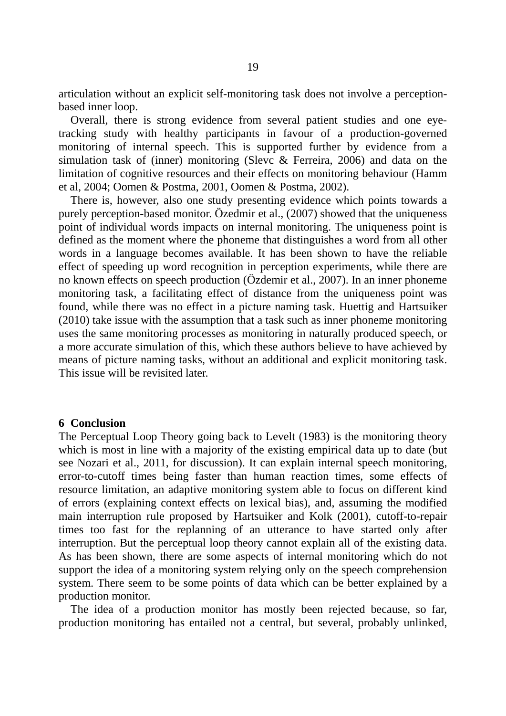articulation without an explicit self-monitoring task does not involve a perceptionbased inner loop.

 Overall, there is strong evidence from several patient studies and one eyetracking study with healthy participants in favour of a production-governed monitoring of internal speech. This is supported further by evidence from a simulation task of (inner) monitoring (Slevc & Ferreira, 2006) and data on the limitation of cognitive resources and their effects on monitoring behaviour (Hamm et al, 2004; Oomen & Postma, 2001, Oomen & Postma, 2002).

 There is, however, also one study presenting evidence which points towards a purely perception-based monitor. Özedmir et al., (2007) showed that the uniqueness point of individual words impacts on internal monitoring. The uniqueness point is defined as the moment where the phoneme that distinguishes a word from all other words in a language becomes available. It has been shown to have the reliable effect of speeding up word recognition in perception experiments, while there are no known effects on speech production (Özdemir et al., 2007). In an inner phoneme monitoring task, a facilitating effect of distance from the uniqueness point was found, while there was no effect in a picture naming task. Huettig and Hartsuiker (2010) take issue with the assumption that a task such as inner phoneme monitoring uses the same monitoring processes as monitoring in naturally produced speech, or a more accurate simulation of this, which these authors believe to have achieved by means of picture naming tasks, without an additional and explicit monitoring task. This issue will be revisited later.

#### **6 Conclusion**

The Perceptual Loop Theory going back to Levelt (1983) is the monitoring theory which is most in line with a majority of the existing empirical data up to date (but see Nozari et al., 2011, for discussion). It can explain internal speech monitoring, error-to-cutoff times being faster than human reaction times, some effects of resource limitation, an adaptive monitoring system able to focus on different kind of errors (explaining context effects on lexical bias), and, assuming the modified main interruption rule proposed by Hartsuiker and Kolk (2001), cutoff-to-repair times too fast for the replanning of an utterance to have started only after interruption. But the perceptual loop theory cannot explain all of the existing data. As has been shown, there are some aspects of internal monitoring which do not support the idea of a monitoring system relying only on the speech comprehension system. There seem to be some points of data which can be better explained by a production monitor.

 The idea of a production monitor has mostly been rejected because, so far, production monitoring has entailed not a central, but several, probably unlinked,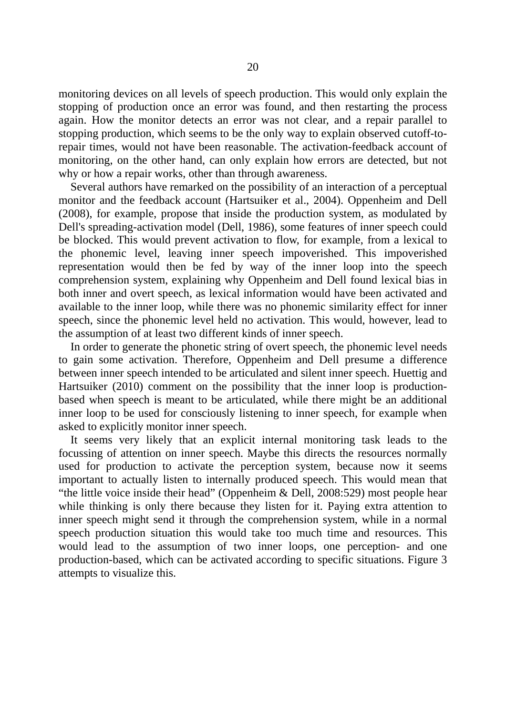monitoring devices on all levels of speech production. This would only explain the stopping of production once an error was found, and then restarting the process again. How the monitor detects an error was not clear, and a repair parallel to stopping production, which seems to be the only way to explain observed cutoff-torepair times, would not have been reasonable. The activation-feedback account of monitoring, on the other hand, can only explain how errors are detected, but not why or how a repair works, other than through awareness.

 Several authors have remarked on the possibility of an interaction of a perceptual monitor and the feedback account (Hartsuiker et al., 2004). Oppenheim and Dell (2008), for example, propose that inside the production system, as modulated by Dell's spreading-activation model (Dell, 1986), some features of inner speech could be blocked. This would prevent activation to flow, for example, from a lexical to the phonemic level, leaving inner speech impoverished. This impoverished representation would then be fed by way of the inner loop into the speech comprehension system, explaining why Oppenheim and Dell found lexical bias in both inner and overt speech, as lexical information would have been activated and available to the inner loop, while there was no phonemic similarity effect for inner speech, since the phonemic level held no activation. This would, however, lead to the assumption of at least two different kinds of inner speech.

 In order to generate the phonetic string of overt speech, the phonemic level needs to gain some activation. Therefore, Oppenheim and Dell presume a difference between inner speech intended to be articulated and silent inner speech. Huettig and Hartsuiker (2010) comment on the possibility that the inner loop is productionbased when speech is meant to be articulated, while there might be an additional inner loop to be used for consciously listening to inner speech, for example when asked to explicitly monitor inner speech.

 It seems very likely that an explicit internal monitoring task leads to the focussing of attention on inner speech. Maybe this directs the resources normally used for production to activate the perception system, because now it seems important to actually listen to internally produced speech. This would mean that "the little voice inside their head" (Oppenheim & Dell, 2008:529) most people hear while thinking is only there because they listen for it. Paying extra attention to inner speech might send it through the comprehension system, while in a normal speech production situation this would take too much time and resources. This would lead to the assumption of two inner loops, one perception- and one production-based, which can be activated according to specific situations. Figure 3 attempts to visualize this.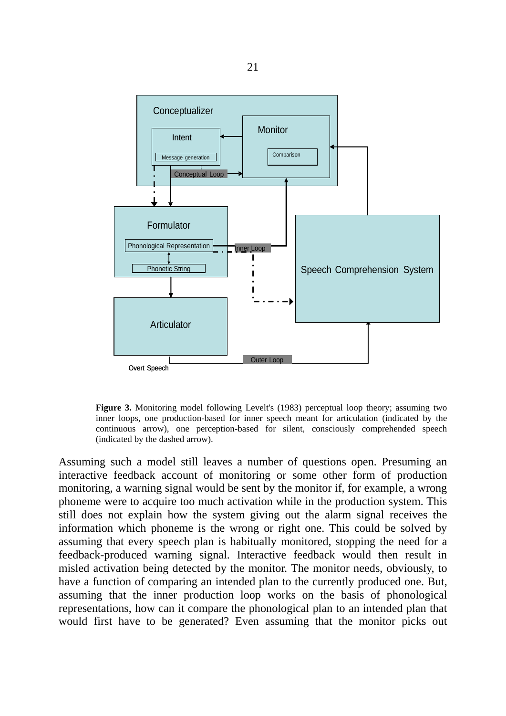

**Figure 3.** Monitoring model following Levelt's (1983) perceptual loop theory; assuming two inner loops, one production-based for inner speech meant for articulation (indicated by the continuous arrow), one perception-based for silent, consciously comprehended speech (indicated by the dashed arrow).

Assuming such a model still leaves a number of questions open. Presuming an interactive feedback account of monitoring or some other form of production monitoring, a warning signal would be sent by the monitor if, for example, a wrong phoneme were to acquire too much activation while in the production system. This still does not explain how the system giving out the alarm signal receives the information which phoneme is the wrong or right one. This could be solved by assuming that every speech plan is habitually monitored, stopping the need for a feedback-produced warning signal. Interactive feedback would then result in misled activation being detected by the monitor. The monitor needs, obviously, to have a function of comparing an intended plan to the currently produced one. But, assuming that the inner production loop works on the basis of phonological representations, how can it compare the phonological plan to an intended plan that would first have to be generated? Even assuming that the monitor picks out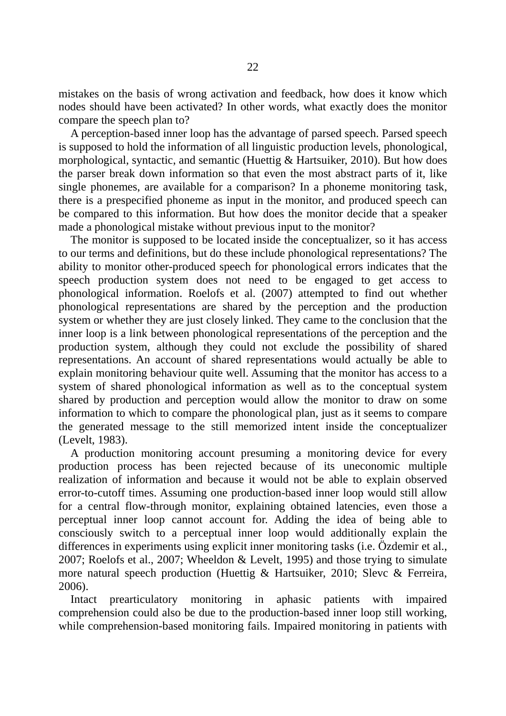mistakes on the basis of wrong activation and feedback, how does it know which nodes should have been activated? In other words, what exactly does the monitor compare the speech plan to?

 A perception-based inner loop has the advantage of parsed speech. Parsed speech is supposed to hold the information of all linguistic production levels, phonological, morphological, syntactic, and semantic (Huettig & Hartsuiker, 2010). But how does the parser break down information so that even the most abstract parts of it, like single phonemes, are available for a comparison? In a phoneme monitoring task, there is a prespecified phoneme as input in the monitor, and produced speech can be compared to this information. But how does the monitor decide that a speaker made a phonological mistake without previous input to the monitor?

 The monitor is supposed to be located inside the conceptualizer, so it has access to our terms and definitions, but do these include phonological representations? The ability to monitor other-produced speech for phonological errors indicates that the speech production system does not need to be engaged to get access to phonological information. Roelofs et al. (2007) attempted to find out whether phonological representations are shared by the perception and the production system or whether they are just closely linked. They came to the conclusion that the inner loop is a link between phonological representations of the perception and the production system, although they could not exclude the possibility of shared representations. An account of shared representations would actually be able to explain monitoring behaviour quite well. Assuming that the monitor has access to a system of shared phonological information as well as to the conceptual system shared by production and perception would allow the monitor to draw on some information to which to compare the phonological plan, just as it seems to compare the generated message to the still memorized intent inside the conceptualizer (Levelt, 1983).

 A production monitoring account presuming a monitoring device for every production process has been rejected because of its uneconomic multiple realization of information and because it would not be able to explain observed error-to-cutoff times. Assuming one production-based inner loop would still allow for a central flow-through monitor, explaining obtained latencies, even those a perceptual inner loop cannot account for. Adding the idea of being able to consciously switch to a perceptual inner loop would additionally explain the differences in experiments using explicit inner monitoring tasks (i.e. Özdemir et al., 2007; Roelofs et al., 2007; Wheeldon & Levelt, 1995) and those trying to simulate more natural speech production (Huettig & Hartsuiker, 2010; Slevc & Ferreira, 2006).

 Intact prearticulatory monitoring in aphasic patients with impaired comprehension could also be due to the production-based inner loop still working, while comprehension-based monitoring fails. Impaired monitoring in patients with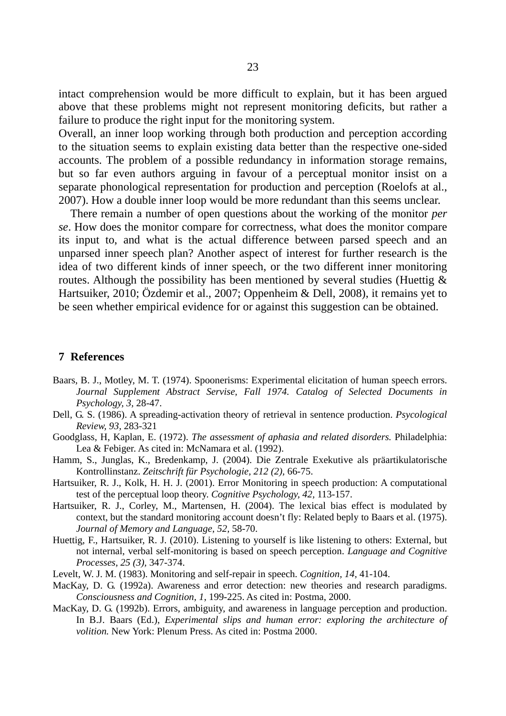intact comprehension would be more difficult to explain, but it has been argued above that these problems might not represent monitoring deficits, but rather a failure to produce the right input for the monitoring system.

Overall, an inner loop working through both production and perception according to the situation seems to explain existing data better than the respective one-sided accounts. The problem of a possible redundancy in information storage remains, but so far even authors arguing in favour of a perceptual monitor insist on a separate phonological representation for production and perception (Roelofs at al., 2007). How a double inner loop would be more redundant than this seems unclear.

 There remain a number of open questions about the working of the monitor *per se*. How does the monitor compare for correctness, what does the monitor compare its input to, and what is the actual difference between parsed speech and an unparsed inner speech plan? Another aspect of interest for further research is the idea of two different kinds of inner speech, or the two different inner monitoring routes. Although the possibility has been mentioned by several studies (Huettig & Hartsuiker, 2010; Özdemir et al., 2007; Oppenheim & Dell, 2008), it remains yet to be seen whether empirical evidence for or against this suggestion can be obtained.

#### **7 References**

- Baars, B. J., Motley, M. T. (1974). Spoonerisms: Experimental elicitation of human speech errors. Journal Supplement Abstract Servise, Fall 1974. Catalog of Selected Documents in *Psychology, 3,* 28-47.
- Dell, G. S. (1986). A spreading-activation theory of retrieval in sentence production. *Psycological Review, 93,* 283-321
- Goodglass, H, Kaplan, E. (1972). *The assessment of aphasia and related disorders.* Philadelphia: Lea & Febiger. As cited in: McNamara et al. (1992).
- Hamm, S., Junglas, K., Bredenkamp, J. (2004). Die Zentrale Exekutive als präartikulatorische Kontrollinstanz. *Zeitschrift für Psychologie, 212 (2),* 66-75.
- Hartsuiker, R. J., Kolk, H. H. J. (2001). Error Monitoring in speech production: A computational test of the perceptual loop theory. *Cognitive Psychology, 42,* 113-157.
- Hartsuiker, R. J., Corley, M., Martensen, H. (2004). The lexical bias effect is modulated by context, but the standard monitoring account doesn't fly: Related beply to Baars et al. (1975). *Journal of Memory and Language, 52,* 58-70.
- Huettig, F., Hartsuiker, R. J. (2010). Listening to yourself is like listening to others: External, but not internal, verbal self-monitoring is based on speech perception. *Language and Cognitive Processes, 25 (3),* 347-374.
- Levelt, W. J. M. (1983). Monitoring and self-repair in speech. *Cognition, 14,* 41-104.
- MacKay, D. G. (1992a). Awareness and error detection: new theories and research paradigms. *Consciousness and Cognition, 1*, 199-225. As cited in: Postma, 2000.
- MacKay, D. G. (1992b). Errors, ambiguity, and awareness in language perception and production. In B.J. Baars (Ed.), *Experimental slips and human error: exploring the architecture of volition.* New York: Plenum Press. As cited in: Postma 2000.